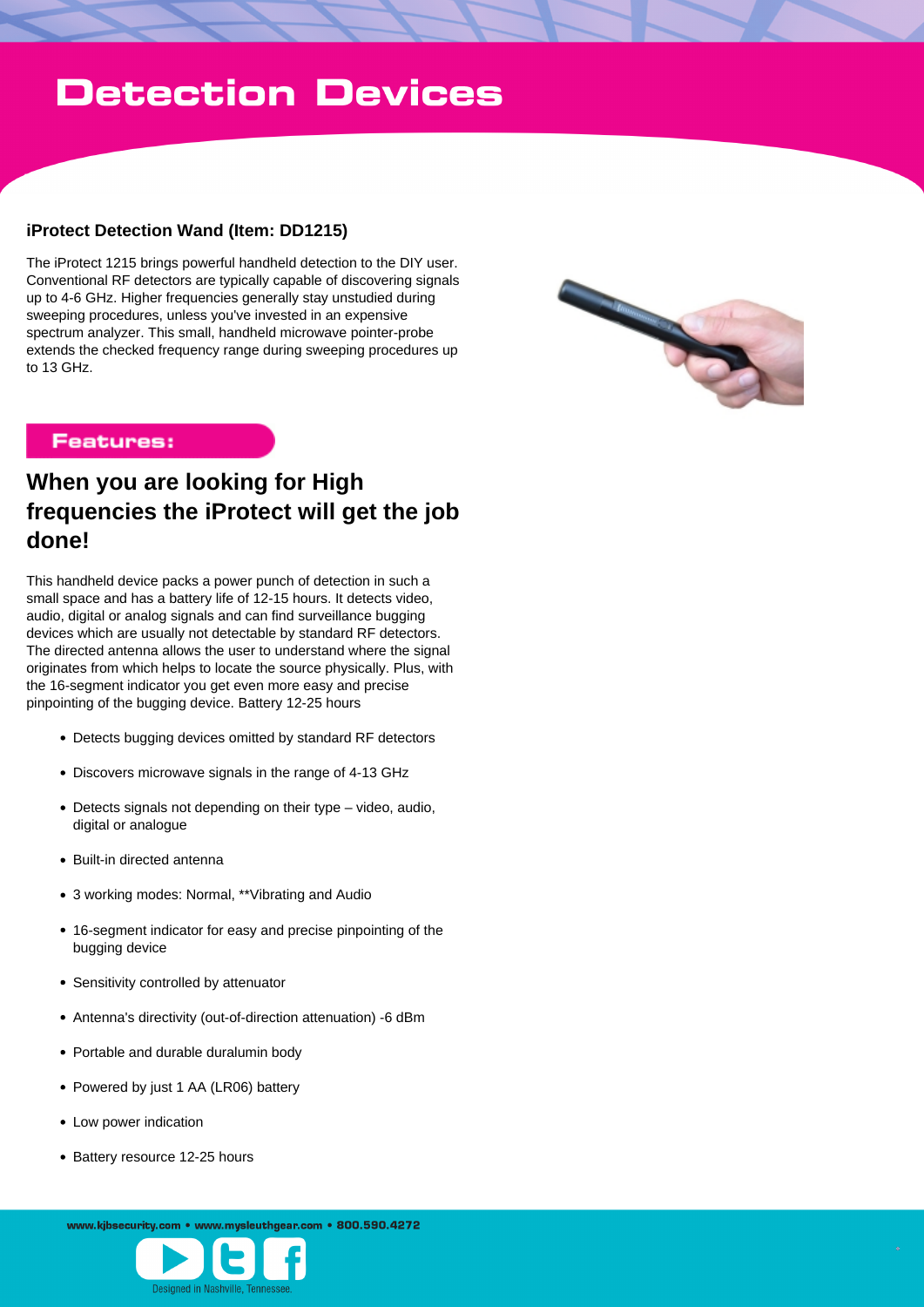# **Detection Devices**

### **iProtect Detection Wand (Item: DD1215)**

The iProtect 1215 brings powerful handheld detection to the DIY user. Conventional RF detectors are typically capable of discovering signals up to 4-6 GHz. Higher frequencies generally stay unstudied during sweeping procedures, unless you've invested in an expensive spectrum analyzer. This small, handheld microwave pointer-probe extends the checked frequency range during sweeping procedures up to 13 GHz.



## **Features:**

# **When you are looking for High frequencies the iProtect will get the job done!**

This handheld device packs a power punch of detection in such a small space and has a battery life of 12-15 hours. It detects video, audio, digital or analog signals and can find surveillance bugging devices which are usually not detectable by standard RF detectors. The directed antenna allows the user to understand where the signal originates from which helps to locate the source physically. Plus, with the 16-segment indicator you get even more easy and precise pinpointing of the bugging device. Battery 12-25 hours

- Detects bugging devices omitted by standard RF detectors
- Discovers microwave signals in the range of 4-13 GHz
- Detects signals not depending on their type video, audio, digital or analogue
- Built-in directed antenna
- 3 working modes: Normal, \*\*Vibrating and Audio
- 16-segment indicator for easy and precise pinpointing of the bugging device
- Sensitivity controlled by attenuator
- Antenna's directivity (out-of-direction attenuation) -6 dBm
- Portable and durable duralumin body
- Powered by just 1 AA (LR06) battery
- Low power indication
- Battery resource 12-25 hours

www.kibsecurity.com • www.mysleuthgear.com • 800.590.4272